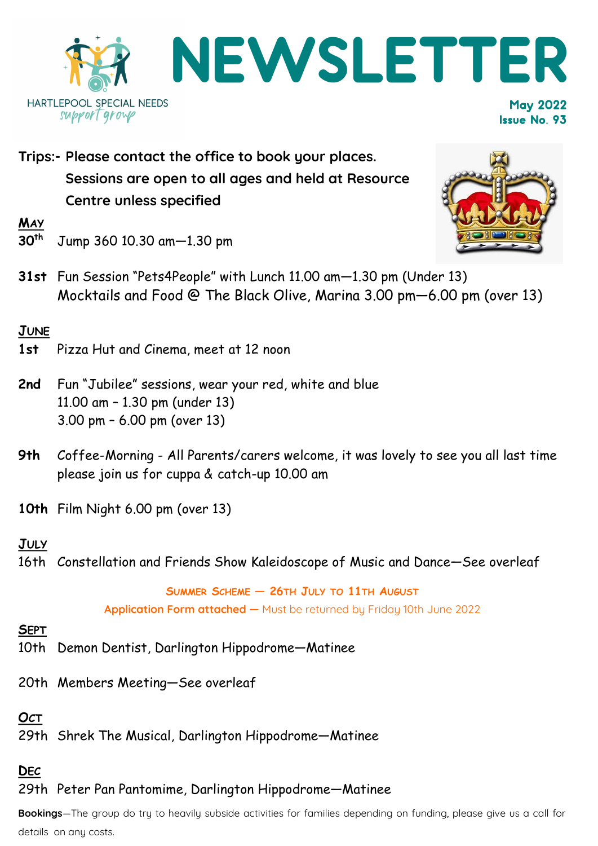

**Trips:- Please contact the office to book your places. Sessions are open to all ages and held at Resource Centre unless specified**

 $\frac{MAY}{30^{th}}$ 

- **30th** Jump 360 10.30 am—1.30 pm
- **31st** Fun Session "Pets4People" with Lunch 11.00 am—1.30 pm (Under 13) Mocktails and Food @ The Black Olive, Marina 3.00 pm—6.00 pm (over 13)

### **JUNE**

- **1st** Pizza Hut and Cinema, meet at 12 noon
- **2nd** Fun "Jubilee" sessions, wear your red, white and blue 11.00 am – 1.30 pm (under 13) 3.00 pm – 6.00 pm (over 13)
- **9th** Coffee-Morning All Parents/carers welcome, it was lovely to see you all last time please join us for cuppa & catch-up 10.00 am
- **10th** Film Night 6.00 pm (over 13)

### **JULY**

16th Constellation and Friends Show Kaleidoscope of Music and Dance—See overleaf

# **SUMMER SCHEME — 26TH JULY TO 11TH AUGUST**

**Application Form attached —** Must be returned by Friday 10th June 2022

#### **SEPT**

- 10th Demon Dentist, Darlington Hippodrome—Matinee
- 20th Members Meeting—See overleaf

# **OCT**

29th Shrek The Musical, Darlington Hippodrome—Matinee

## **DEC**

### 29th Peter Pan Pantomime, Darlington Hippodrome—Matinee

**Bookings**—The group do try to heavily subside activities for families depending on funding, please give us a call for details on any costs.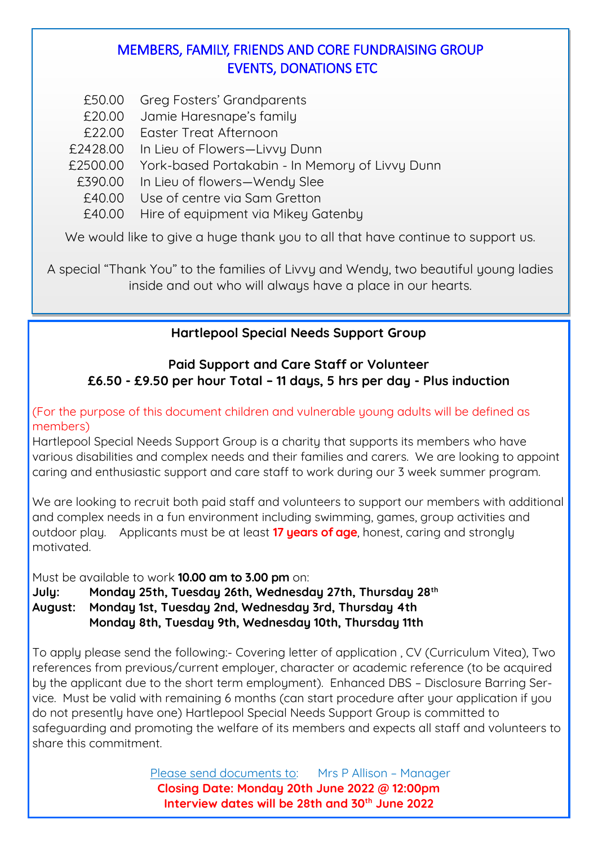## MEMBERS, FAMILY, FRIENDS AND CORE FUNDRAISING GROUP EVENTS, DONATIONS ETC

- £50.00 Greg Fosters' Grandparents
- £20.00 Jamie Haresnape's family
- £22.00 Easter Treat Afternoon
- £2428.00 In Lieu of Flowers—Livvy Dunn
- £2500.00 York-based Portakabin In Memory of Livvy Dunn
	- £390.00 In Lieu of flowers—Wendy Slee
	- £40.00 Use of centre via Sam Gretton
	- £40.00 Hire of equipment via Mikey Gatenby

We would like to give a huge thank you to all that have continue to support us.

A special "Thank You" to the families of Livvy and Wendy, two beautiful young ladies inside and out who will always have a place in our hearts.

### **Hartlepool Special Needs Support Group**

#### **Paid Support and Care Staff or Volunteer £6.50 - £9.50 per hour Total – 11 days, 5 hrs per day - Plus induction**

(For the purpose of this document children and vulnerable young adults will be defined as members)

Hartlepool Special Needs Support Group is a charity that supports its members who have various disabilities and complex needs and their families and carers. We are looking to appoint caring and enthusiastic support and care staff to work during our 3 week summer program.

We are looking to recruit both paid staff and volunteers to support our members with additional and complex needs in a fun environment including swimming, games, group activities and outdoor play. Applicants must be at least **17 years of age**, honest, caring and strongly motivated.

Must be available to work **10.00 am to 3.00 pm** on:

**July: Monday 25th, Tuesday 26th, Wednesday 27th, Thursday 28th August: Monday 1st, Tuesday 2nd, Wednesday 3rd, Thursday 4th Monday 8th, Tuesday 9th, Wednesday 10th, Thursday 11th**

To apply please send the following:- Covering letter of application , CV (Curriculum Vitea), Two references from previous/current employer, character or academic reference (to be acquired by the applicant due to the short term employment). Enhanced DBS – Disclosure Barring Service. Must be valid with remaining 6 months (can start procedure after your application if you do not presently have one) Hartlepool Special Needs Support Group is committed to safeguarding and promoting the welfare of its members and expects all staff and volunteers to share this commitment.

> Please send documents to: Mrs P Allison - Manager **Closing Date: Monday 20th June 2022 @ 12:00pm Interview dates will be 28th and 30th June 2022**